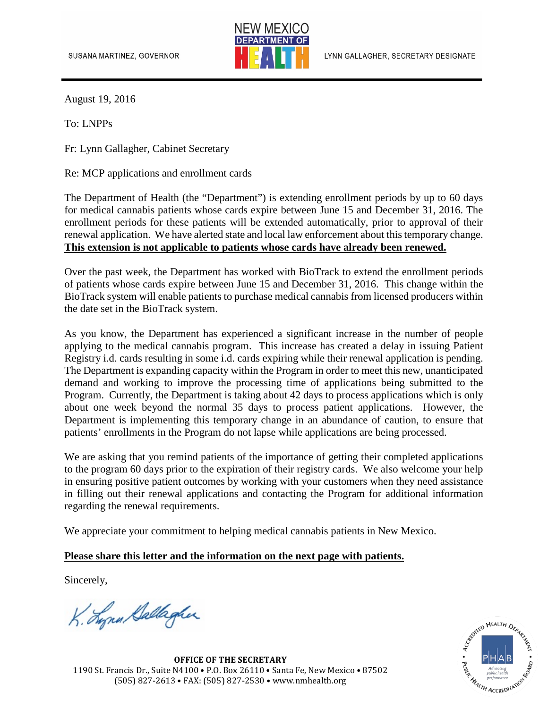

August 19, 2016

To: LNPPs

Fr: Lynn Gallagher, Cabinet Secretary

Re: MCP applications and enrollment cards

The Department of Health (the "Department") is extending enrollment periods by up to 60 days for medical cannabis patients whose cards expire between June 15 and December 31, 2016. The enrollment periods for these patients will be extended automatically, prior to approval of their renewal application. We have alerted state and local law enforcement about this temporary change. **This extension is not applicable to patients whose cards have already been renewed.**

Over the past week, the Department has worked with BioTrack to extend the enrollment periods of patients whose cards expire between June 15 and December 31, 2016. This change within the BioTrack system will enable patients to purchase medical cannabis from licensed producers within the date set in the BioTrack system.

As you know, the Department has experienced a significant increase in the number of people applying to the medical cannabis program. This increase has created a delay in issuing Patient Registry i.d. cards resulting in some i.d. cards expiring while their renewal application is pending. The Department is expanding capacity within the Program in order to meet this new, unanticipated demand and working to improve the processing time of applications being submitted to the Program. Currently, the Department is taking about 42 days to process applications which is only about one week beyond the normal 35 days to process patient applications. However, the Department is implementing this temporary change in an abundance of caution, to ensure that patients' enrollments in the Program do not lapse while applications are being processed.

We are asking that you remind patients of the importance of getting their completed applications to the program 60 days prior to the expiration of their registry cards. We also welcome your help in ensuring positive patient outcomes by working with your customers when they need assistance in filling out their renewal applications and contacting the Program for additional information regarding the renewal requirements.

We appreciate your commitment to helping medical cannabis patients in New Mexico.

## **Please share this letter and the information on the next page with patients.**

Sincerely,

K. Lynn Gallagher



**OFFICE OF THE SECRETARY** 1190 St. Francis Dr., Suite N4100 • P.O. Box 26110 • Santa Fe, New Mexico • 87502 (505) 827-2613 • FAX: (505) 827-2530 • www.nmhealth.org